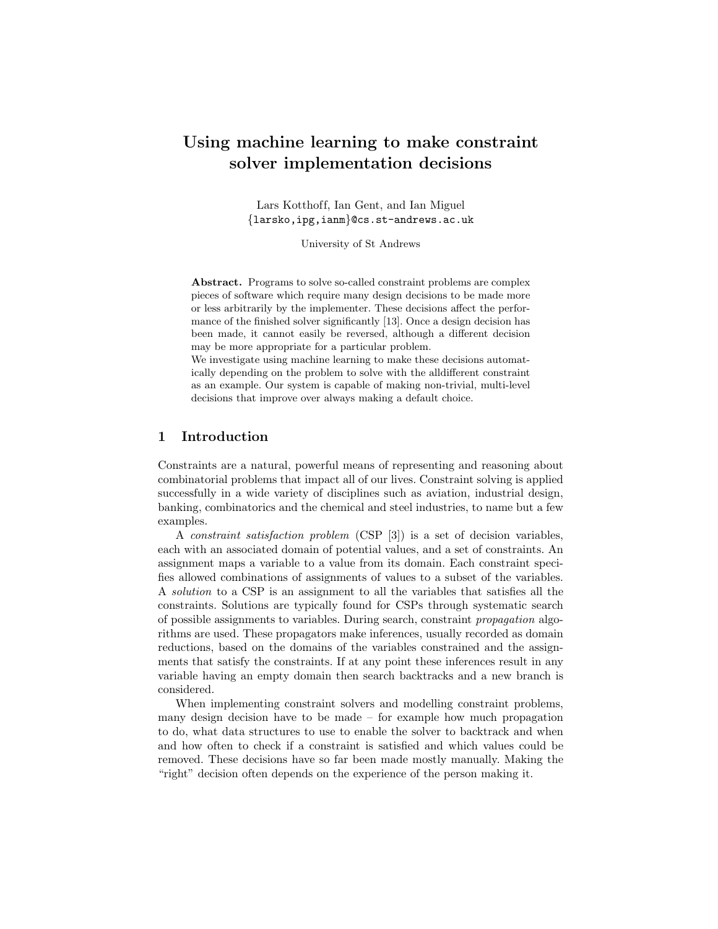# Using machine learning to make constraint solver implementation decisions

Lars Kotthoff, Ian Gent, and Ian Miguel {larsko,ipg,ianm}@cs.st-andrews.ac.uk

University of St Andrews

Abstract. Programs to solve so-called constraint problems are complex pieces of software which require many design decisions to be made more or less arbitrarily by the implementer. These decisions affect the performance of the finished solver significantly [13]. Once a design decision has been made, it cannot easily be reversed, although a different decision may be more appropriate for a particular problem.

We investigate using machine learning to make these decisions automatically depending on the problem to solve with the alldifferent constraint as an example. Our system is capable of making non-trivial, multi-level decisions that improve over always making a default choice.

#### 1 Introduction

Constraints are a natural, powerful means of representing and reasoning about combinatorial problems that impact all of our lives. Constraint solving is applied successfully in a wide variety of disciplines such as aviation, industrial design, banking, combinatorics and the chemical and steel industries, to name but a few examples.

A constraint satisfaction problem (CSP [3]) is a set of decision variables, each with an associated domain of potential values, and a set of constraints. An assignment maps a variable to a value from its domain. Each constraint specifies allowed combinations of assignments of values to a subset of the variables. A solution to a CSP is an assignment to all the variables that satisfies all the constraints. Solutions are typically found for CSPs through systematic search of possible assignments to variables. During search, constraint propagation algorithms are used. These propagators make inferences, usually recorded as domain reductions, based on the domains of the variables constrained and the assignments that satisfy the constraints. If at any point these inferences result in any variable having an empty domain then search backtracks and a new branch is considered.

When implementing constraint solvers and modelling constraint problems, many design decision have to be made – for example how much propagation to do, what data structures to use to enable the solver to backtrack and when and how often to check if a constraint is satisfied and which values could be removed. These decisions have so far been made mostly manually. Making the "right" decision often depends on the experience of the person making it.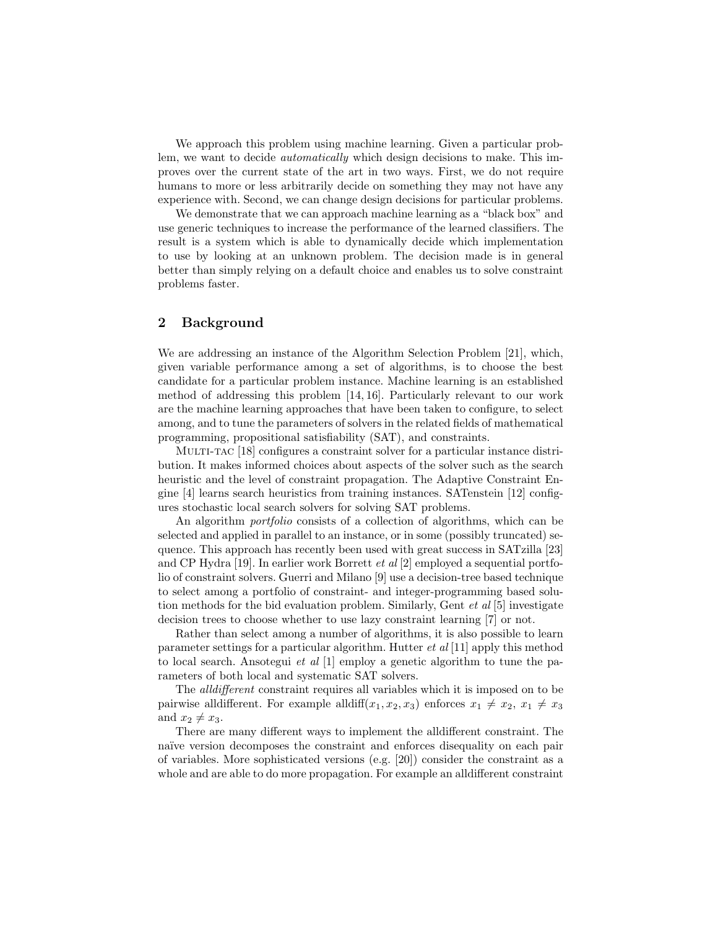We approach this problem using machine learning. Given a particular problem, we want to decide automatically which design decisions to make. This improves over the current state of the art in two ways. First, we do not require humans to more or less arbitrarily decide on something they may not have any experience with. Second, we can change design decisions for particular problems.

We demonstrate that we can approach machine learning as a "black box" and use generic techniques to increase the performance of the learned classifiers. The result is a system which is able to dynamically decide which implementation to use by looking at an unknown problem. The decision made is in general better than simply relying on a default choice and enables us to solve constraint problems faster.

# 2 Background

We are addressing an instance of the Algorithm Selection Problem [21], which, given variable performance among a set of algorithms, is to choose the best candidate for a particular problem instance. Machine learning is an established method of addressing this problem [14, 16]. Particularly relevant to our work are the machine learning approaches that have been taken to configure, to select among, and to tune the parameters of solvers in the related fields of mathematical programming, propositional satisfiability (SAT), and constraints.

Multi-tac [18] configures a constraint solver for a particular instance distribution. It makes informed choices about aspects of the solver such as the search heuristic and the level of constraint propagation. The Adaptive Constraint Engine [4] learns search heuristics from training instances. SATenstein [12] configures stochastic local search solvers for solving SAT problems.

An algorithm portfolio consists of a collection of algorithms, which can be selected and applied in parallel to an instance, or in some (possibly truncated) sequence. This approach has recently been used with great success in SATzilla [23] and CP Hydra [19]. In earlier work Borrett *et al* [2] employed a sequential portfolio of constraint solvers. Guerri and Milano [9] use a decision-tree based technique to select among a portfolio of constraint- and integer-programming based solution methods for the bid evaluation problem. Similarly, Gent et al [5] investigate decision trees to choose whether to use lazy constraint learning [7] or not.

Rather than select among a number of algorithms, it is also possible to learn parameter settings for a particular algorithm. Hutter  $et \text{ al } [11]$  apply this method to local search. Ansotegui *et al*  $[1]$  employ a genetic algorithm to tune the parameters of both local and systematic SAT solvers.

The alldifferent constraint requires all variables which it is imposed on to be pairwise alldifferent. For example alldiff( $x_1, x_2, x_3$ ) enforces  $x_1 \neq x_2, x_1 \neq x_3$ and  $x_2 \neq x_3$ .

There are many different ways to implement the alldifferent constraint. The naïve version decomposes the constraint and enforces disequality on each pair of variables. More sophisticated versions (e.g. [20]) consider the constraint as a whole and are able to do more propagation. For example an alldifferent constraint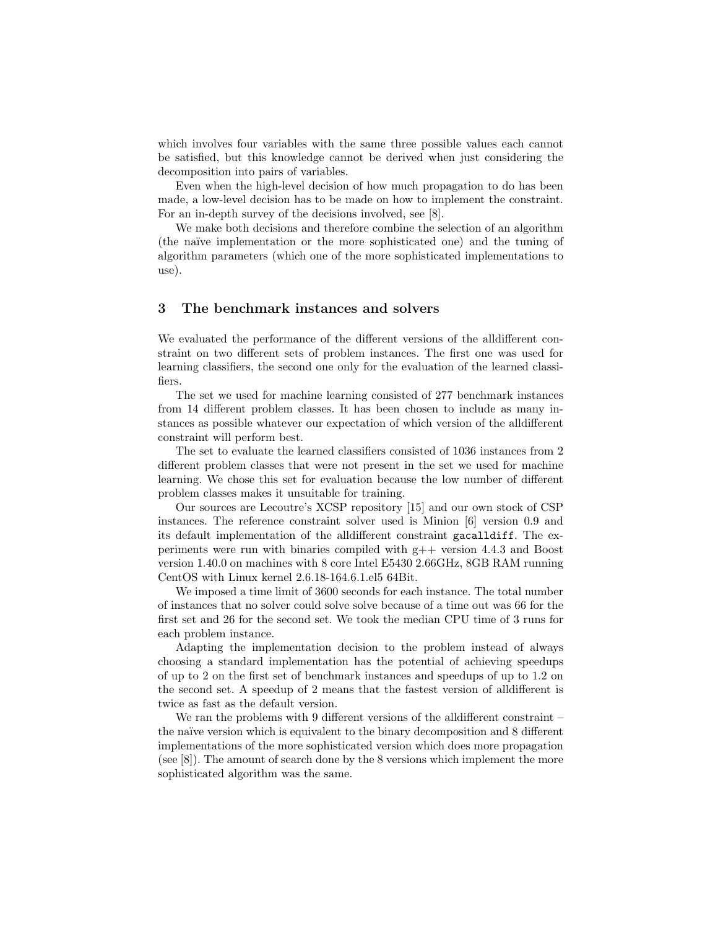which involves four variables with the same three possible values each cannot be satisfied, but this knowledge cannot be derived when just considering the decomposition into pairs of variables.

Even when the high-level decision of how much propagation to do has been made, a low-level decision has to be made on how to implement the constraint. For an in-depth survey of the decisions involved, see [8].

We make both decisions and therefore combine the selection of an algorithm (the na¨ıve implementation or the more sophisticated one) and the tuning of algorithm parameters (which one of the more sophisticated implementations to use).

## 3 The benchmark instances and solvers

We evaluated the performance of the different versions of the alldifferent constraint on two different sets of problem instances. The first one was used for learning classifiers, the second one only for the evaluation of the learned classifiers.

The set we used for machine learning consisted of 277 benchmark instances from 14 different problem classes. It has been chosen to include as many instances as possible whatever our expectation of which version of the alldifferent constraint will perform best.

The set to evaluate the learned classifiers consisted of 1036 instances from 2 different problem classes that were not present in the set we used for machine learning. We chose this set for evaluation because the low number of different problem classes makes it unsuitable for training.

Our sources are Lecoutre's XCSP repository [15] and our own stock of CSP instances. The reference constraint solver used is Minion [6] version 0.9 and its default implementation of the alldifferent constraint gacalldiff. The experiments were run with binaries compiled with  $g++$  version 4.4.3 and Boost version 1.40.0 on machines with 8 core Intel E5430 2.66GHz, 8GB RAM running CentOS with Linux kernel 2.6.18-164.6.1.el5 64Bit.

We imposed a time limit of 3600 seconds for each instance. The total number of instances that no solver could solve solve because of a time out was 66 for the first set and 26 for the second set. We took the median CPU time of 3 runs for each problem instance.

Adapting the implementation decision to the problem instead of always choosing a standard implementation has the potential of achieving speedups of up to 2 on the first set of benchmark instances and speedups of up to 1.2 on the second set. A speedup of 2 means that the fastest version of alldifferent is twice as fast as the default version.

We ran the problems with 9 different versions of the all different constraint – the naïve version which is equivalent to the binary decomposition and 8 different implementations of the more sophisticated version which does more propagation (see [8]). The amount of search done by the 8 versions which implement the more sophisticated algorithm was the same.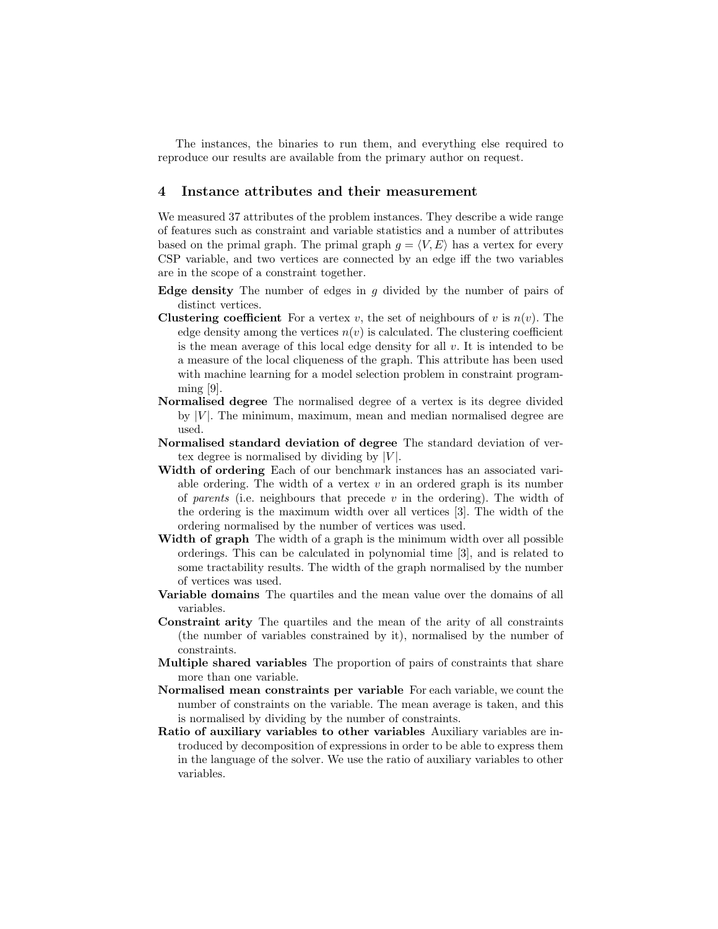The instances, the binaries to run them, and everything else required to reproduce our results are available from the primary author on request.

### 4 Instance attributes and their measurement

We measured 37 attributes of the problem instances. They describe a wide range of features such as constraint and variable statistics and a number of attributes based on the primal graph. The primal graph  $g = \langle V, E \rangle$  has a vertex for every CSP variable, and two vertices are connected by an edge iff the two variables are in the scope of a constraint together.

- **Edge density** The number of edges in  $g$  divided by the number of pairs of distinct vertices.
- **Clustering coefficient** For a vertex v, the set of neighbours of v is  $n(v)$ . The edge density among the vertices  $n(v)$  is calculated. The clustering coefficient is the mean average of this local edge density for all  $v$ . It is intended to be a measure of the local cliqueness of the graph. This attribute has been used with machine learning for a model selection problem in constraint program- $\min_{\mathcal{S}}$  [9].
- Normalised degree The normalised degree of a vertex is its degree divided by  $|V|$ . The minimum, maximum, mean and median normalised degree are used.
- Normalised standard deviation of degree The standard deviation of vertex degree is normalised by dividing by  $|V|$ .
- Width of ordering Each of our benchmark instances has an associated variable ordering. The width of a vertex  $v$  in an ordered graph is its number of parents (i.e. neighbours that precede  $v$  in the ordering). The width of the ordering is the maximum width over all vertices [3]. The width of the ordering normalised by the number of vertices was used.
- Width of graph The width of a graph is the minimum width over all possible orderings. This can be calculated in polynomial time [3], and is related to some tractability results. The width of the graph normalised by the number of vertices was used.
- Variable domains The quartiles and the mean value over the domains of all variables.
- Constraint arity The quartiles and the mean of the arity of all constraints (the number of variables constrained by it), normalised by the number of constraints.
- Multiple shared variables The proportion of pairs of constraints that share more than one variable.
- Normalised mean constraints per variable For each variable, we count the number of constraints on the variable. The mean average is taken, and this is normalised by dividing by the number of constraints.
- Ratio of auxiliary variables to other variables Auxiliary variables are introduced by decomposition of expressions in order to be able to express them in the language of the solver. We use the ratio of auxiliary variables to other variables.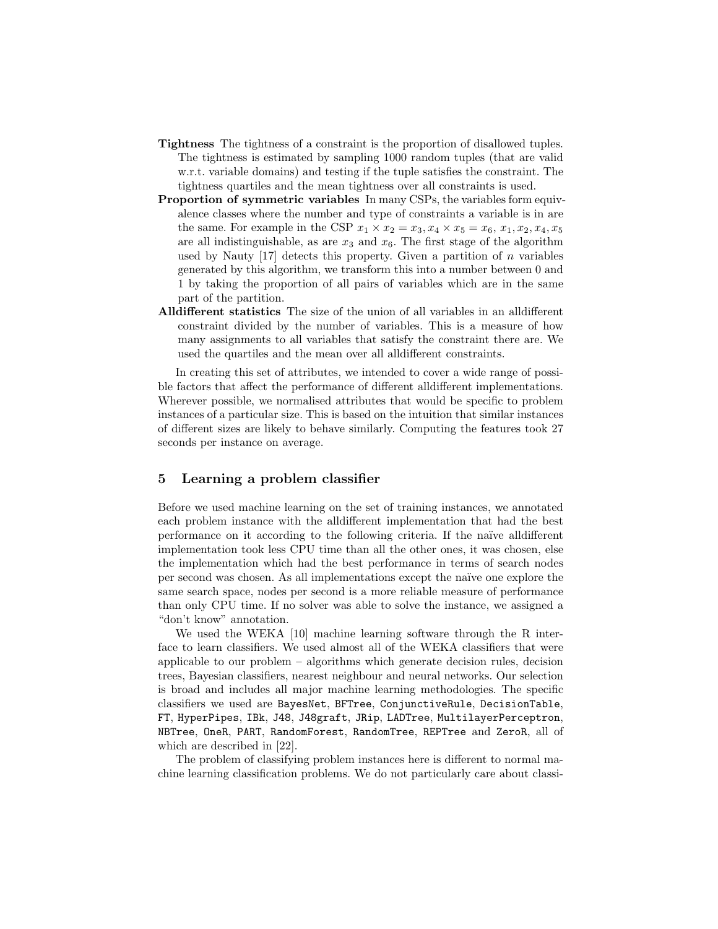- Tightness The tightness of a constraint is the proportion of disallowed tuples. The tightness is estimated by sampling 1000 random tuples (that are valid w.r.t. variable domains) and testing if the tuple satisfies the constraint. The tightness quartiles and the mean tightness over all constraints is used.
- Proportion of symmetric variables In many CSPs, the variables form equivalence classes where the number and type of constraints a variable is in are the same. For example in the CSP  $x_1 \times x_2 = x_3, x_4 \times x_5 = x_6, x_1, x_2, x_4, x_5$ are all indistinguishable, as are  $x_3$  and  $x_6$ . The first stage of the algorithm used by Nauty  $[17]$  detects this property. Given a partition of n variables generated by this algorithm, we transform this into a number between 0 and 1 by taking the proportion of all pairs of variables which are in the same part of the partition.
- Alldifferent statistics The size of the union of all variables in an alldifferent constraint divided by the number of variables. This is a measure of how many assignments to all variables that satisfy the constraint there are. We used the quartiles and the mean over all alldifferent constraints.

In creating this set of attributes, we intended to cover a wide range of possible factors that affect the performance of different alldifferent implementations. Wherever possible, we normalised attributes that would be specific to problem instances of a particular size. This is based on the intuition that similar instances of different sizes are likely to behave similarly. Computing the features took 27 seconds per instance on average.

## 5 Learning a problem classifier

Before we used machine learning on the set of training instances, we annotated each problem instance with the alldifferent implementation that had the best performance on it according to the following criteria. If the naïve all different implementation took less CPU time than all the other ones, it was chosen, else the implementation which had the best performance in terms of search nodes per second was chosen. As all implementations except the na¨ıve one explore the same search space, nodes per second is a more reliable measure of performance than only CPU time. If no solver was able to solve the instance, we assigned a "don't know" annotation.

We used the WEKA [10] machine learning software through the R interface to learn classifiers. We used almost all of the WEKA classifiers that were applicable to our problem – algorithms which generate decision rules, decision trees, Bayesian classifiers, nearest neighbour and neural networks. Our selection is broad and includes all major machine learning methodologies. The specific classifiers we used are BayesNet, BFTree, ConjunctiveRule, DecisionTable, FT, HyperPipes, IBk, J48, J48graft, JRip, LADTree, MultilayerPerceptron, NBTree, OneR, PART, RandomForest, RandomTree, REPTree and ZeroR, all of which are described in [22].

The problem of classifying problem instances here is different to normal machine learning classification problems. We do not particularly care about classi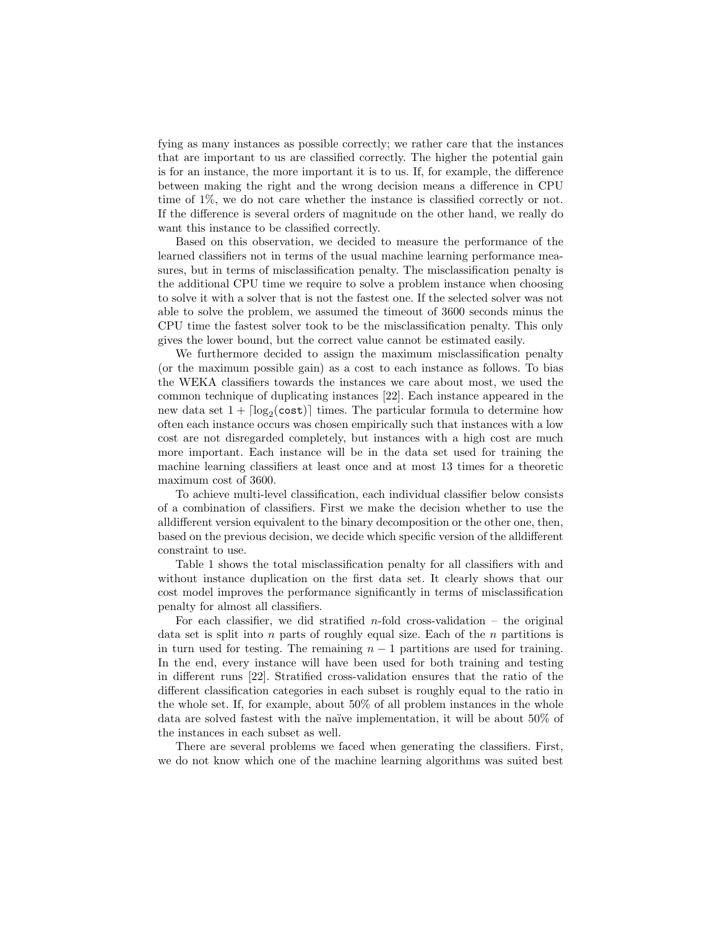fying as many instances as possible correctly; we rather care that the instances that are important to us are classified correctly. The higher the potential gain is for an instance, the more important it is to us. If, for example, the difference between making the right and the wrong decision means a difference in CPU time of 1%, we do not care whether the instance is classified correctly or not. If the difference is several orders of magnitude on the other hand, we really do want this instance to be classified correctly.

Based on this observation, we decided to measure the performance of the learned classifiers not in terms of the usual machine learning performance measures, but in terms of misclassification penalty. The misclassification penalty is the additional CPU time we require to solve a problem instance when choosing to solve it with a solver that is not the fastest one. If the selected solver was not able to solve the problem, we assumed the timeout of 3600 seconds minus the CPU time the fastest solver took to be the misclassification penalty. This only gives the lower bound, but the correct value cannot be estimated easily.

We furthermore decided to assign the maximum misclassification penalty (or the maximum possible gain) as a cost to each instance as follows. To bias the WEKA classifiers towards the instances we care about most, we used the common technique of duplicating instances [22]. Each instance appeared in the new data set  $1 + \lceil \log_2(\text{cost}) \rceil$  times. The particular formula to determine how often each instance occurs was chosen empirically such that instances with a low cost are not disregarded completely, but instances with a high cost are much more important. Each instance will be in the data set used for training the machine learning classifiers at least once and at most 13 times for a theoretic maximum cost of 3600.

To achieve multi-level classification, each individual classifier below consists of a combination of classifiers. First we make the decision whether to use the alldifferent version equivalent to the binary decomposition or the other one, then, based on the previous decision, we decide which specific version of the alldifferent constraint to use.

Table 1 shows the total misclassification penalty for all classifiers with and without instance duplication on the first data set. It clearly shows that our cost model improves the performance significantly in terms of misclassification penalty for almost all classifiers.

For each classifier, we did stratified  $n$ -fold cross-validation – the original data set is split into n parts of roughly equal size. Each of the  $n$  partitions is in turn used for testing. The remaining  $n-1$  partitions are used for training. In the end, every instance will have been used for both training and testing in different runs [22]. Stratified cross-validation ensures that the ratio of the different classification categories in each subset is roughly equal to the ratio in the whole set. If, for example, about 50% of all problem instances in the whole data are solved fastest with the naïve implementation, it will be about  $50\%$  of the instances in each subset as well.

There are several problems we faced when generating the classifiers. First, we do not know which one of the machine learning algorithms was suited best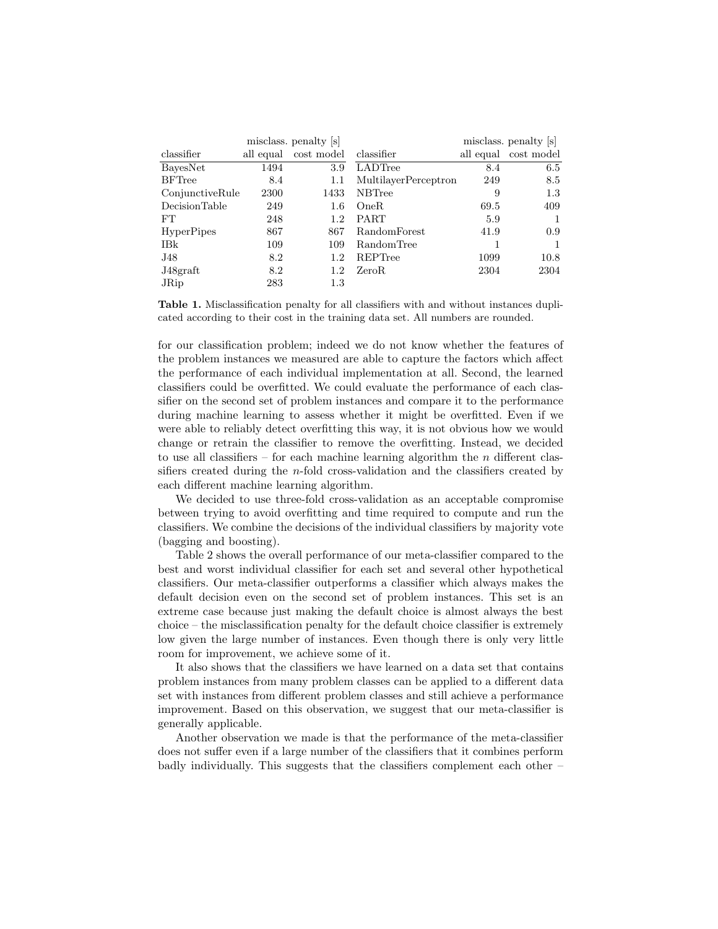| misclass. penalty [s] |           |            | misclass. penalty s  |      |                      |
|-----------------------|-----------|------------|----------------------|------|----------------------|
| classifier            | all equal | cost model | classifier           |      | all equal cost model |
| BayesNet              | 1494      | 3.9        | LADTree              | 8.4  | 6.5                  |
| <b>BFTree</b>         | 8.4       | 1.1        | MultilayerPerceptron | 249  | 8.5                  |
| ConjunctiveRule       | 2300      | 1433       | <b>NBTree</b>        | 9    | 1.3                  |
| DecisionTable         | 249       | $1.6\,$    | OneR                 | 69.5 | 409                  |
| FT                    | 248       | 1.2        | <b>PART</b>          | 5.9  | 1                    |
| <b>HyperPipes</b>     | 867       | 867        | RandomForest         | 41.9 | 0.9                  |
| IBk                   | 109       | 109        | RandomTree           |      | 1                    |
| J48                   | 8.2       | 1.2        | REPTree              | 1099 | 10.8                 |
| J48graft              | 8.2       | 1.2        | ZeroR.               | 2304 | 2304                 |
| JRip                  | 283       | 1.3        |                      |      |                      |

Table 1. Misclassification penalty for all classifiers with and without instances duplicated according to their cost in the training data set. All numbers are rounded.

for our classification problem; indeed we do not know whether the features of the problem instances we measured are able to capture the factors which affect the performance of each individual implementation at all. Second, the learned classifiers could be overfitted. We could evaluate the performance of each classifier on the second set of problem instances and compare it to the performance during machine learning to assess whether it might be overfitted. Even if we were able to reliably detect overfitting this way, it is not obvious how we would change or retrain the classifier to remove the overfitting. Instead, we decided to use all classifiers – for each machine learning algorithm the  $n$  different classifiers created during the n-fold cross-validation and the classifiers created by each different machine learning algorithm.

We decided to use three-fold cross-validation as an acceptable compromise between trying to avoid overfitting and time required to compute and run the classifiers. We combine the decisions of the individual classifiers by majority vote (bagging and boosting).

Table 2 shows the overall performance of our meta-classifier compared to the best and worst individual classifier for each set and several other hypothetical classifiers. Our meta-classifier outperforms a classifier which always makes the default decision even on the second set of problem instances. This set is an extreme case because just making the default choice is almost always the best choice – the misclassification penalty for the default choice classifier is extremely low given the large number of instances. Even though there is only very little room for improvement, we achieve some of it.

It also shows that the classifiers we have learned on a data set that contains problem instances from many problem classes can be applied to a different data set with instances from different problem classes and still achieve a performance improvement. Based on this observation, we suggest that our meta-classifier is generally applicable.

Another observation we made is that the performance of the meta-classifier does not suffer even if a large number of the classifiers that it combines perform badly individually. This suggests that the classifiers complement each other –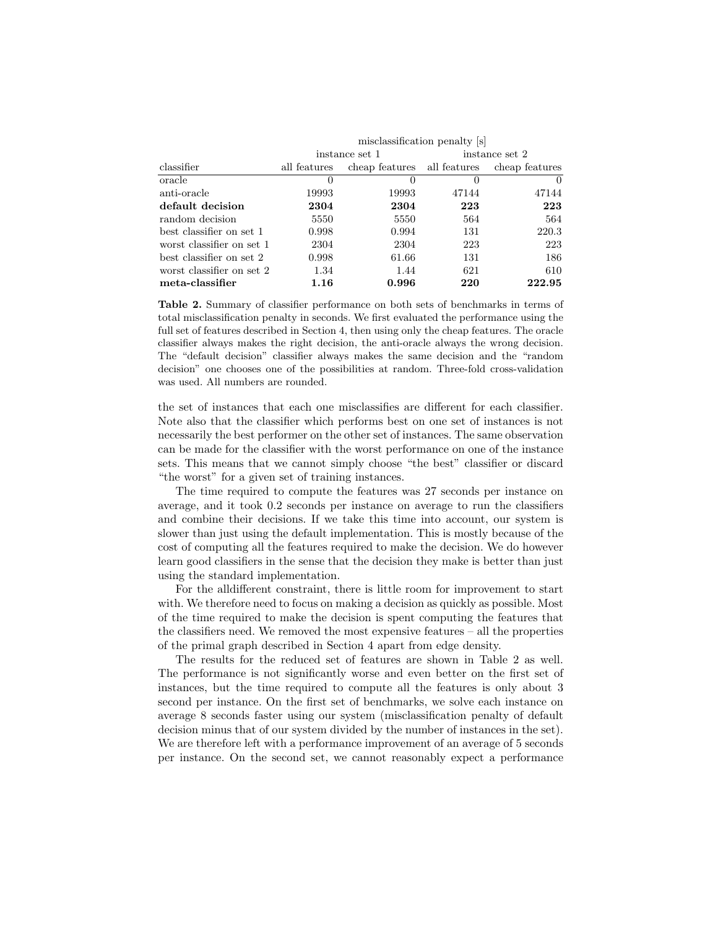|                           | misclassification penalty [s] |                             |                |                |  |
|---------------------------|-------------------------------|-----------------------------|----------------|----------------|--|
|                           | instance set 1                |                             | instance set 2 |                |  |
| classifier                | all features                  | cheap features all features |                | cheap features |  |
| oracle                    | $\theta$                      | $\left( \right)$            | $\theta$       | $\theta$       |  |
| anti-oracle               | 19993                         | 19993                       | 47144          | 47144          |  |
| default decision          | 2304                          | 2304                        | 223            | 223            |  |
| random decision           | 5550                          | 5550                        | 564            | 564            |  |
| best classifier on set 1  | 0.998                         | 0.994                       | 131            | 220.3          |  |
| worst classifier on set 1 | 2304                          | 2304                        | 223            | 223            |  |
| best classifier on set 2  | 0.998                         | 61.66                       | 131            | 186            |  |
| worst classifier on set 2 | 1.34                          | 1.44                        | 621            | 610            |  |
| meta-classifier           | 1.16                          | 0.996                       | 220            | 222.95         |  |

Table 2. Summary of classifier performance on both sets of benchmarks in terms of total misclassification penalty in seconds. We first evaluated the performance using the full set of features described in Section 4, then using only the cheap features. The oracle classifier always makes the right decision, the anti-oracle always the wrong decision. The "default decision" classifier always makes the same decision and the "random decision" one chooses one of the possibilities at random. Three-fold cross-validation was used. All numbers are rounded.

the set of instances that each one misclassifies are different for each classifier. Note also that the classifier which performs best on one set of instances is not necessarily the best performer on the other set of instances. The same observation can be made for the classifier with the worst performance on one of the instance sets. This means that we cannot simply choose "the best" classifier or discard "the worst" for a given set of training instances.

The time required to compute the features was 27 seconds per instance on average, and it took 0.2 seconds per instance on average to run the classifiers and combine their decisions. If we take this time into account, our system is slower than just using the default implementation. This is mostly because of the cost of computing all the features required to make the decision. We do however learn good classifiers in the sense that the decision they make is better than just using the standard implementation.

For the alldifferent constraint, there is little room for improvement to start with. We therefore need to focus on making a decision as quickly as possible. Most of the time required to make the decision is spent computing the features that the classifiers need. We removed the most expensive features – all the properties of the primal graph described in Section 4 apart from edge density.

The results for the reduced set of features are shown in Table 2 as well. The performance is not significantly worse and even better on the first set of instances, but the time required to compute all the features is only about 3 second per instance. On the first set of benchmarks, we solve each instance on average 8 seconds faster using our system (misclassification penalty of default decision minus that of our system divided by the number of instances in the set). We are therefore left with a performance improvement of an average of 5 seconds per instance. On the second set, we cannot reasonably expect a performance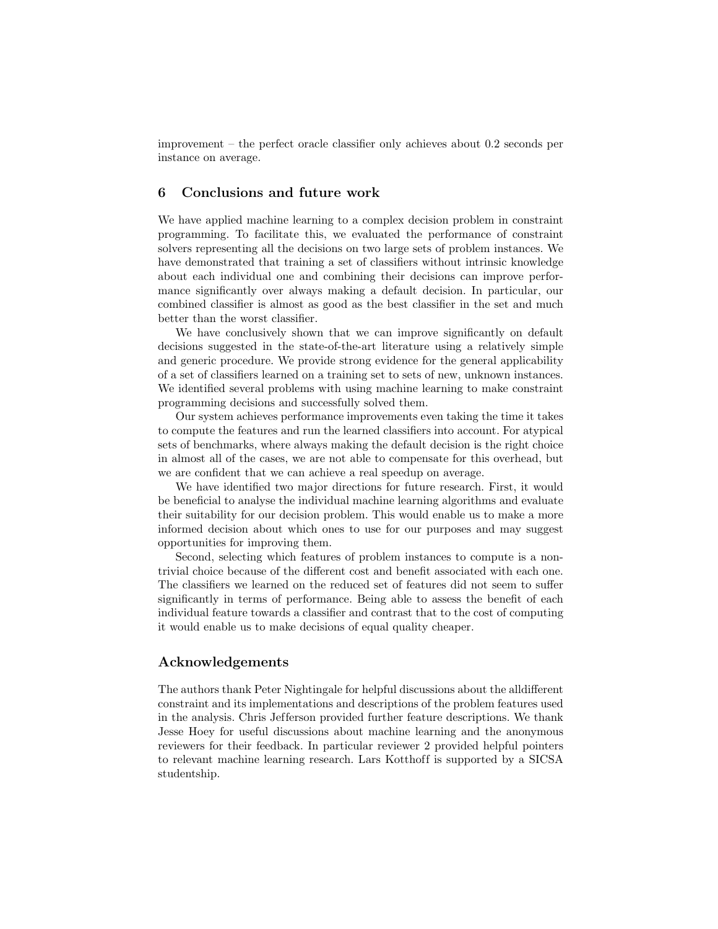improvement – the perfect oracle classifier only achieves about 0.2 seconds per instance on average.

# 6 Conclusions and future work

We have applied machine learning to a complex decision problem in constraint programming. To facilitate this, we evaluated the performance of constraint solvers representing all the decisions on two large sets of problem instances. We have demonstrated that training a set of classifiers without intrinsic knowledge about each individual one and combining their decisions can improve performance significantly over always making a default decision. In particular, our combined classifier is almost as good as the best classifier in the set and much better than the worst classifier.

We have conclusively shown that we can improve significantly on default decisions suggested in the state-of-the-art literature using a relatively simple and generic procedure. We provide strong evidence for the general applicability of a set of classifiers learned on a training set to sets of new, unknown instances. We identified several problems with using machine learning to make constraint programming decisions and successfully solved them.

Our system achieves performance improvements even taking the time it takes to compute the features and run the learned classifiers into account. For atypical sets of benchmarks, where always making the default decision is the right choice in almost all of the cases, we are not able to compensate for this overhead, but we are confident that we can achieve a real speedup on average.

We have identified two major directions for future research. First, it would be beneficial to analyse the individual machine learning algorithms and evaluate their suitability for our decision problem. This would enable us to make a more informed decision about which ones to use for our purposes and may suggest opportunities for improving them.

Second, selecting which features of problem instances to compute is a nontrivial choice because of the different cost and benefit associated with each one. The classifiers we learned on the reduced set of features did not seem to suffer significantly in terms of performance. Being able to assess the benefit of each individual feature towards a classifier and contrast that to the cost of computing it would enable us to make decisions of equal quality cheaper.

#### Acknowledgements

The authors thank Peter Nightingale for helpful discussions about the alldifferent constraint and its implementations and descriptions of the problem features used in the analysis. Chris Jef ferson provided further feature descriptions. We thank Jesse Hoey for useful discussions about machine learning and the anonymous reviewers for their feedback. In particular reviewer 2 provided helpful pointers to relevant machine learning research. Lars Kotthoff is supported by a SICSA studentship.